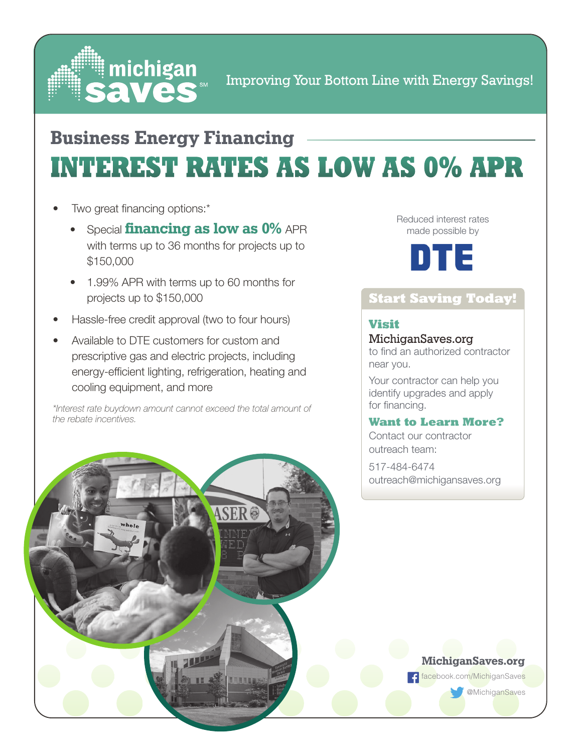

Improving Your Bottom Line with Energy Savings!

### **INTEREST RATES AS LOW AS 0% APR Business Energy Financing**

- Two great financing options:\*
	- Special **financing as low as 0%** APR with terms up to 36 months for projects up to \$150,000
	- 1.99% APR with terms up to 60 months for projects up to \$150,000
- Hassle-free credit approval (two to four hours)
- Available to DTE customers for custom and prescriptive gas and electric projects, including energy-efficient lighting, refrigeration, heating and cooling equipment, and more

*\*Interest rate buydown amount cannot exceed the total amount of the rebate incentives.*





#### **Start Saving Today!**

#### **Visit**

#### MichiganSaves.org

to find an authorized contractor near you.

Your contractor can help you identify upgrades and apply for financing.

#### **Want to Learn More?**

Contact our contractor outreach team:

517-484-6474 outreach@michigansaves.org



facebook.com/MichiganSaves

@MichiganSaves